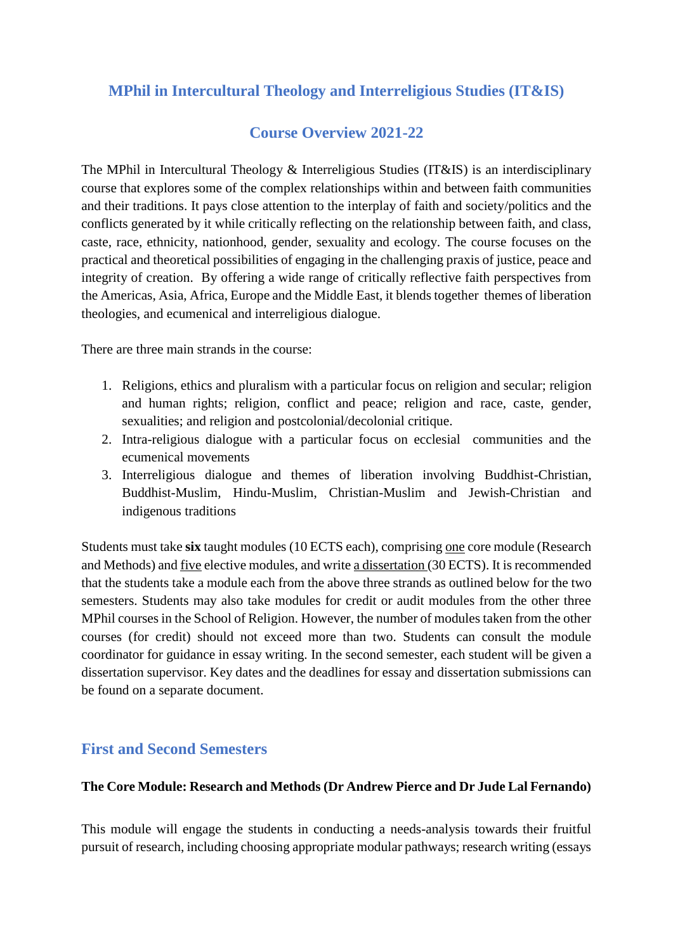# **MPhil in Intercultural Theology and Interreligious Studies (IT&IS)**

# **Course Overview 2021-22**

The MPhil in Intercultural Theology & Interreligious Studies (IT&IS) is an interdisciplinary course that explores some of the complex relationships within and between faith communities and their traditions. It pays close attention to the interplay of faith and society/politics and the conflicts generated by it while critically reflecting on the relationship between faith, and class, caste, race, ethnicity, nationhood, gender, sexuality and ecology. The course focuses on the practical and theoretical possibilities of engaging in the challenging praxis of justice, peace and integrity of creation. By offering a wide range of critically reflective faith perspectives from the Americas, Asia, Africa, Europe and the Middle East, it blends together themes of liberation theologies, and ecumenical and interreligious dialogue.

There are three main strands in the course:

- 1. Religions, ethics and pluralism with a particular focus on religion and secular; religion and human rights; religion, conflict and peace; religion and race, caste, gender, sexualities; and religion and postcolonial/decolonial critique.
- 2. Intra-religious dialogue with a particular focus on ecclesial communities and the ecumenical movements
- 3. Interreligious dialogue and themes of liberation involving Buddhist-Christian, Buddhist-Muslim, Hindu-Muslim, Christian-Muslim and Jewish-Christian and indigenous traditions

Students must take **six** taught modules (10 ECTS each), comprising one core module (Research and Methods) and five elective modules, and write a dissertation (30 ECTS). It is recommended that the students take a module each from the above three strands as outlined below for the two semesters. Students may also take modules for credit or audit modules from the other three MPhil courses in the School of Religion. However, the number of modules taken from the other courses (for credit) should not exceed more than two. Students can consult the module coordinator for guidance in essay writing. In the second semester, each student will be given a dissertation supervisor. Key dates and the deadlines for essay and dissertation submissions can be found on a separate document.

## **First and Second Semesters**

### **The Core Module: Research and Methods (Dr Andrew Pierce and Dr Jude Lal Fernando)**

This module will engage the students in conducting a needs-analysis towards their fruitful pursuit of research, including choosing appropriate modular pathways; research writing (essays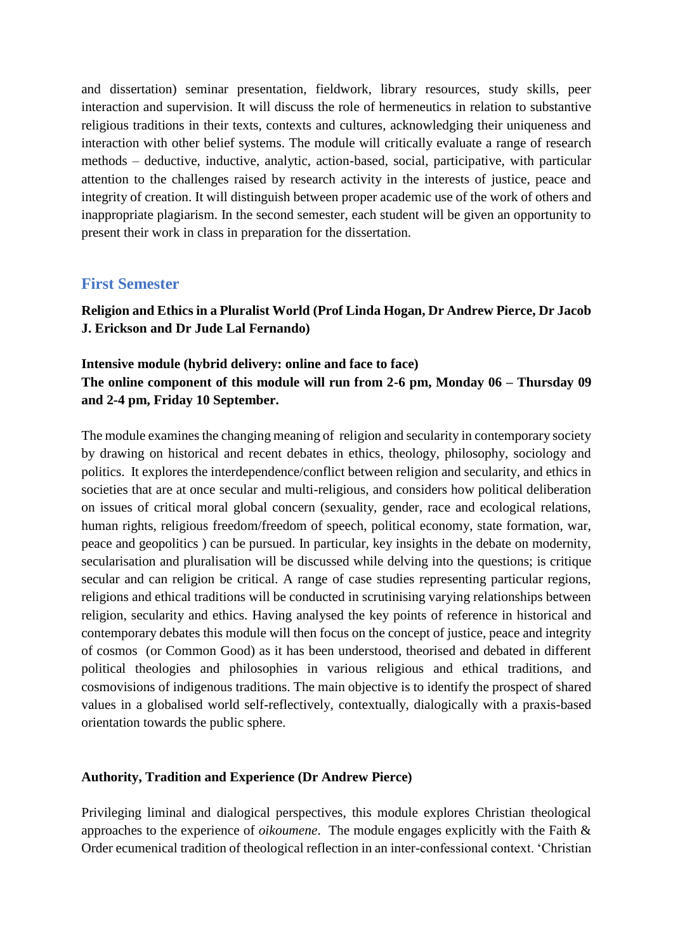and dissertation) seminar presentation, fieldwork, library resources, study skills, peer interaction and supervision. It will discuss the role of hermeneutics in relation to substantive religious traditions in their texts, contexts and cultures, acknowledging their uniqueness and interaction with other belief systems. The module will critically evaluate a range of research methods – deductive, inductive, analytic, action-based, social, participative, with particular attention to the challenges raised by research activity in the interests of justice, peace and integrity of creation. It will distinguish between proper academic use of the work of others and inappropriate plagiarism. In the second semester, each student will be given an opportunity to present their work in class in preparation for the dissertation.

### **First Semester**

**Religion and Ethics in a Pluralist World (Prof Linda Hogan, Dr Andrew Pierce, Dr Jacob J. Erickson and Dr Jude Lal Fernando)**

## **Intensive module (hybrid delivery: online and face to face) The online component of this module will run from 2-6 pm, Monday 06 – Thursday 09 and 2-4 pm, Friday 10 September.**

The module examines the changing meaning of religion and secularity in contemporary society by drawing on historical and recent debates in ethics, theology, philosophy, sociology and politics. It explores the interdependence/conflict between religion and secularity, and ethics in societies that are at once secular and multi-religious, and considers how political deliberation on issues of critical moral global concern (sexuality, gender, race and ecological relations, human rights, religious freedom/freedom of speech, political economy, state formation, war, peace and geopolitics ) can be pursued. In particular, key insights in the debate on modernity, secularisation and pluralisation will be discussed while delving into the questions; is critique secular and can religion be critical. A range of case studies representing particular regions, religions and ethical traditions will be conducted in scrutinising varying relationships between religion, secularity and ethics. Having analysed the key points of reference in historical and contemporary debates this module will then focus on the concept of justice, peace and integrity of cosmos (or Common Good) as it has been understood, theorised and debated in different political theologies and philosophies in various religious and ethical traditions, and cosmovisions of indigenous traditions. The main objective is to identify the prospect of shared values in a globalised world self-reflectively, contextually, dialogically with a praxis-based orientation towards the public sphere.

#### **Authority, Tradition and Experience (Dr Andrew Pierce)**

Privileging liminal and dialogical perspectives, this module explores Christian theological approaches to the experience of *oikoumene*. The module engages explicitly with the Faith & Order ecumenical tradition of theological reflection in an inter-confessional context. 'Christian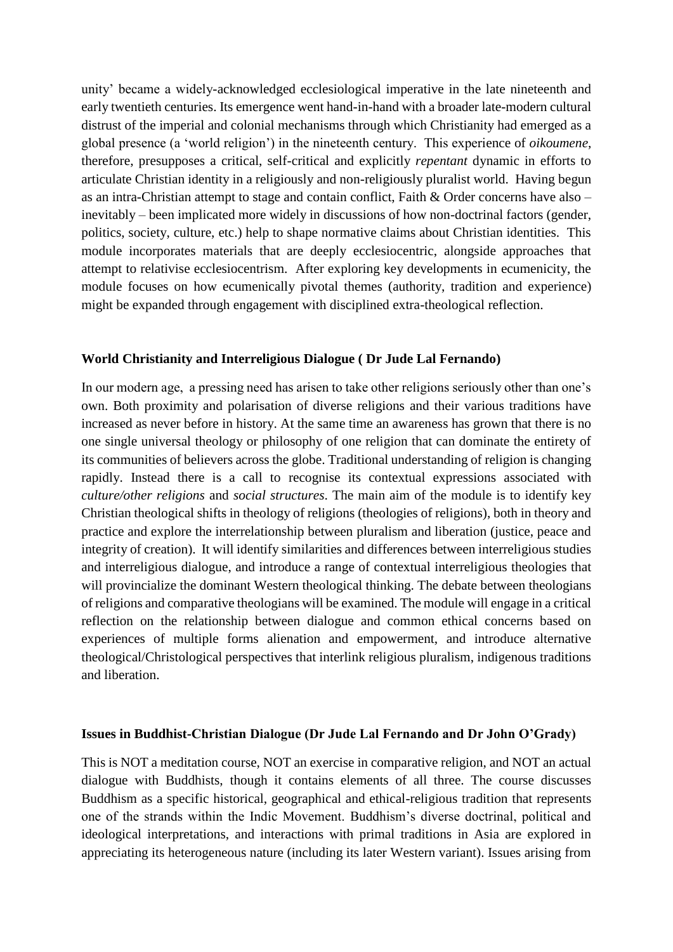unity' became a widely-acknowledged ecclesiological imperative in the late nineteenth and early twentieth centuries. Its emergence went hand-in-hand with a broader late-modern cultural distrust of the imperial and colonial mechanisms through which Christianity had emerged as a global presence (a 'world religion') in the nineteenth century. This experience of *oikoumene*, therefore, presupposes a critical, self-critical and explicitly *repentant* dynamic in efforts to articulate Christian identity in a religiously and non-religiously pluralist world. Having begun as an intra-Christian attempt to stage and contain conflict, Faith & Order concerns have also – inevitably – been implicated more widely in discussions of how non-doctrinal factors (gender, politics, society, culture, etc.) help to shape normative claims about Christian identities. This module incorporates materials that are deeply ecclesiocentric, alongside approaches that attempt to relativise ecclesiocentrism. After exploring key developments in ecumenicity, the module focuses on how ecumenically pivotal themes (authority, tradition and experience) might be expanded through engagement with disciplined extra-theological reflection.

#### **World Christianity and Interreligious Dialogue ( Dr Jude Lal Fernando)**

In our modern age, a pressing need has arisen to take other religions seriously other than one's own. Both proximity and polarisation of diverse religions and their various traditions have increased as never before in history. At the same time an awareness has grown that there is no one single universal theology or philosophy of one religion that can dominate the entirety of its communities of believers across the globe. Traditional understanding of religion is changing rapidly. Instead there is a call to recognise its contextual expressions associated with *culture/other religions* and *social structures*. The main aim of the module is to identify key Christian theological shifts in theology of religions (theologies of religions), both in theory and practice and explore the interrelationship between pluralism and liberation (justice, peace and integrity of creation). It will identify similarities and differences between interreligious studies and interreligious dialogue, and introduce a range of contextual interreligious theologies that will provincialize the dominant Western theological thinking. The debate between theologians of religions and comparative theologians will be examined. The module will engage in a critical reflection on the relationship between dialogue and common ethical concerns based on experiences of multiple forms alienation and empowerment, and introduce alternative theological/Christological perspectives that interlink religious pluralism, indigenous traditions and liberation.

#### **Issues in Buddhist-Christian Dialogue (Dr Jude Lal Fernando and Dr John O'Grady)**

This is NOT a meditation course, NOT an exercise in comparative religion, and NOT an actual dialogue with Buddhists, though it contains elements of all three. The course discusses Buddhism as a specific historical, geographical and ethical-religious tradition that represents one of the strands within the Indic Movement. Buddhism's diverse doctrinal, political and ideological interpretations, and interactions with primal traditions in Asia are explored in appreciating its heterogeneous nature (including its later Western variant). Issues arising from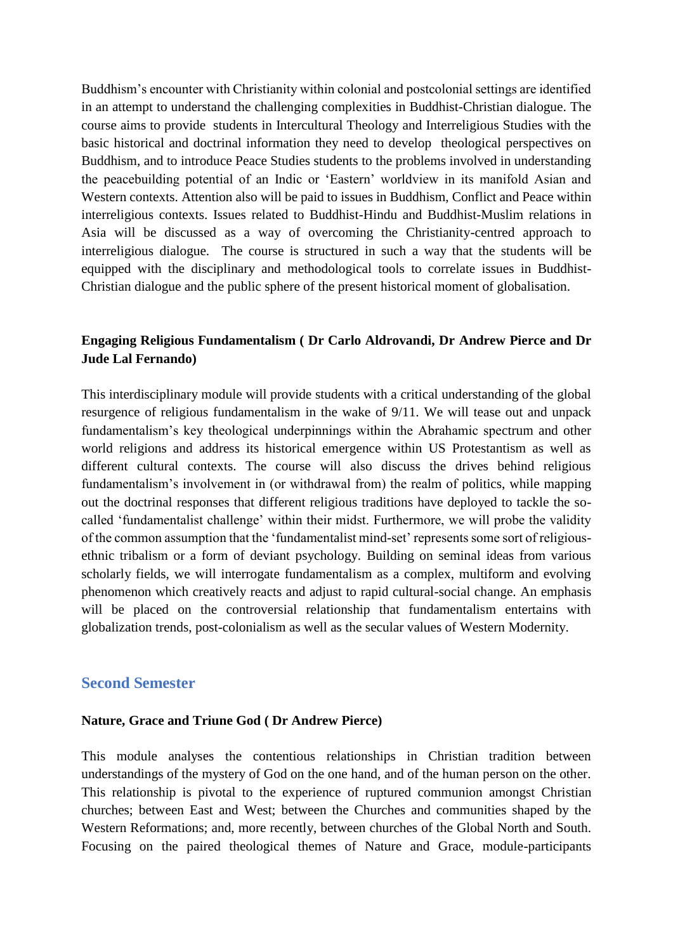Buddhism's encounter with Christianity within colonial and postcolonial settings are identified in an attempt to understand the challenging complexities in Buddhist-Christian dialogue. The course aims to provide students in Intercultural Theology and Interreligious Studies with the basic historical and doctrinal information they need to develop theological perspectives on Buddhism, and to introduce Peace Studies students to the problems involved in understanding the peacebuilding potential of an Indic or 'Eastern' worldview in its manifold Asian and Western contexts. Attention also will be paid to issues in Buddhism, Conflict and Peace within interreligious contexts. Issues related to Buddhist-Hindu and Buddhist-Muslim relations in Asia will be discussed as a way of overcoming the Christianity-centred approach to interreligious dialogue. The course is structured in such a way that the students will be equipped with the disciplinary and methodological tools to correlate issues in Buddhist-Christian dialogue and the public sphere of the present historical moment of globalisation.

## **Engaging Religious Fundamentalism ( Dr Carlo Aldrovandi, Dr Andrew Pierce and Dr Jude Lal Fernando)**

This interdisciplinary module will provide students with a critical understanding of the global resurgence of religious fundamentalism in the wake of 9/11. We will tease out and unpack fundamentalism's key theological underpinnings within the Abrahamic spectrum and other world religions and address its historical emergence within US Protestantism as well as different cultural contexts. The course will also discuss the drives behind religious fundamentalism's involvement in (or withdrawal from) the realm of politics, while mapping out the doctrinal responses that different religious traditions have deployed to tackle the socalled 'fundamentalist challenge' within their midst. Furthermore, we will probe the validity of the common assumption that the 'fundamentalist mind-set' represents some sort of religiousethnic tribalism or a form of deviant psychology. Building on seminal ideas from various scholarly fields, we will interrogate fundamentalism as a complex, multiform and evolving phenomenon which creatively reacts and adjust to rapid cultural-social change. An emphasis will be placed on the controversial relationship that fundamentalism entertains with globalization trends, post-colonialism as well as the secular values of Western Modernity.

### **Second Semester**

#### **Nature, Grace and Triune God ( Dr Andrew Pierce)**

This module analyses the contentious relationships in Christian tradition between understandings of the mystery of God on the one hand, and of the human person on the other. This relationship is pivotal to the experience of ruptured communion amongst Christian churches; between East and West; between the Churches and communities shaped by the Western Reformations; and, more recently, between churches of the Global North and South. Focusing on the paired theological themes of Nature and Grace, module-participants